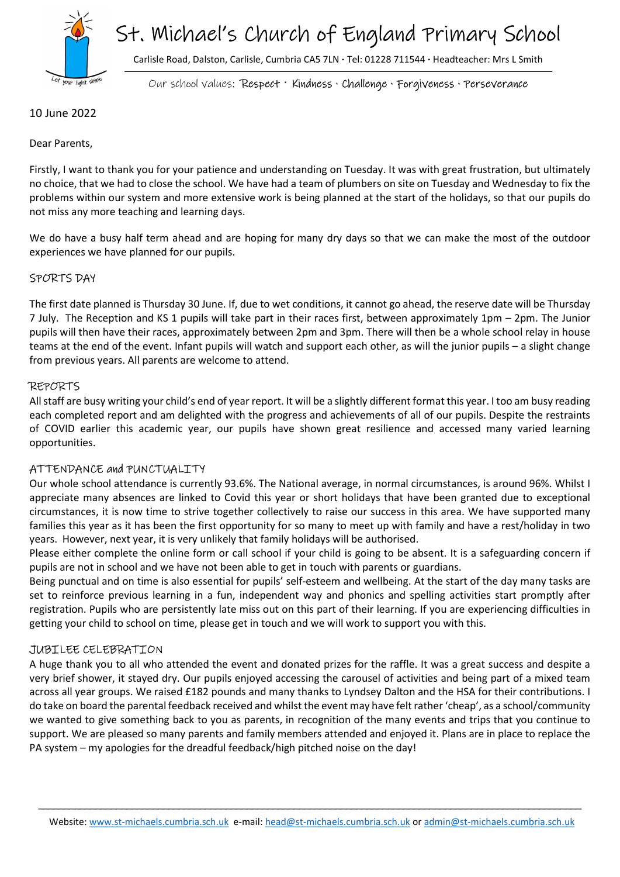

# St. Michael's Church of England Primary School

Carlisle Road, Dalston, Carlisle, Cumbria CA5 7LN · Tel: 01228 711544 · Headteacher: Mrs L Smith

Our school values: Respect · Kindness · Challenge · Forgiveness · Perseverance

10 June 2022

Dear Parents,

Firstly, I want to thank you for your patience and understanding on Tuesday. It was with great frustration, but ultimately no choice, that we had to close the school. We have had a team of plumbers on site on Tuesday and Wednesday to fix the problems within our system and more extensive work is being planned at the start of the holidays, so that our pupils do not miss any more teaching and learning days.

We do have a busy half term ahead and are hoping for many dry days so that we can make the most of the outdoor experiences we have planned for our pupils.

## SPORTS DAY

The first date planned is Thursday 30 June. If, due to wet conditions, it cannot go ahead, the reserve date will be Thursday 7 July. The Reception and KS 1 pupils will take part in their races first, between approximately 1pm – 2pm. The Junior pupils will then have their races, approximately between 2pm and 3pm. There will then be a whole school relay in house teams at the end of the event. Infant pupils will watch and support each other, as will the junior pupils – a slight change from previous years. All parents are welcome to attend.

## REPORTS

All staff are busy writing your child's end of year report. It will be a slightly different format this year. I too am busy reading each completed report and am delighted with the progress and achievements of all of our pupils. Despite the restraints of COVID earlier this academic year, our pupils have shown great resilience and accessed many varied learning opportunities.

#### ATTENDANCE and PUNCTUALITY

Our whole school attendance is currently 93.6%. The National average, in normal circumstances, is around 96%. Whilst I appreciate many absences are linked to Covid this year or short holidays that have been granted due to exceptional circumstances, it is now time to strive together collectively to raise our success in this area. We have supported many families this year as it has been the first opportunity for so many to meet up with family and have a rest/holiday in two years. However, next year, it is very unlikely that family holidays will be authorised.

Please either complete the online form or call school if your child is going to be absent. It is a safeguarding concern if pupils are not in school and we have not been able to get in touch with parents or guardians.

Being punctual and on time is also essential for pupils' self-esteem and wellbeing. At the start of the day many tasks are set to reinforce previous learning in a fun, independent way and phonics and spelling activities start promptly after registration. Pupils who are persistently late miss out on this part of their learning. If you are experiencing difficulties in getting your child to school on time, please get in touch and we will work to support you with this.

## JUBILEE CELEBRATION

A huge thank you to all who attended the event and donated prizes for the raffle. It was a great success and despite a very brief shower, it stayed dry. Our pupils enjoyed accessing the carousel of activities and being part of a mixed team across all year groups. We raised £182 pounds and many thanks to Lyndsey Dalton and the HSA for their contributions. I do take on board the parental feedback received and whilst the event may have felt rather 'cheap', as a school/community we wanted to give something back to you as parents, in recognition of the many events and trips that you continue to support. We are pleased so many parents and family members attended and enjoyed it. Plans are in place to replace the PA system – my apologies for the dreadful feedback/high pitched noise on the day!